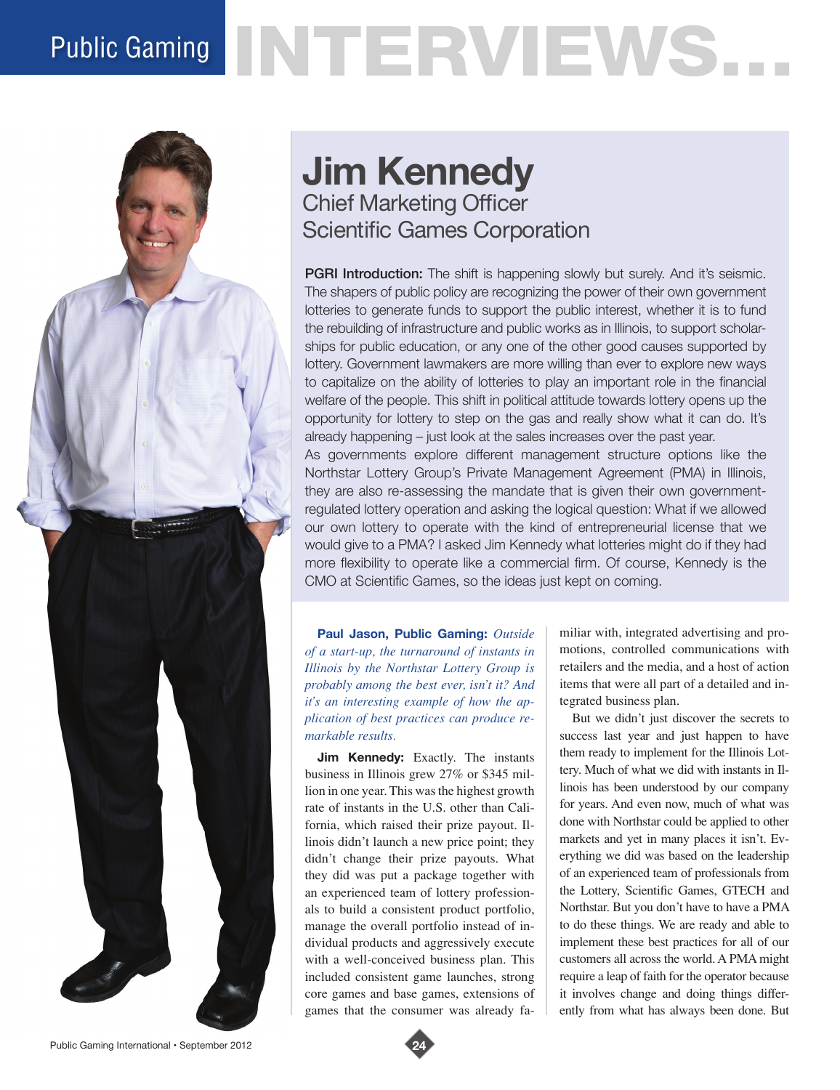# Public Gaming NTERVIEWS.



# **Jim Kennedy** Chief Marketing Officer Scientific Games Corporation

**PGRI Introduction:** The shift is happening slowly but surely. And it's seismic. The shapers of public policy are recognizing the power of their own government lotteries to generate funds to support the public interest, whether it is to fund the rebuilding of infrastructure and public works as in Illinois, to support scholarships for public education, or any one of the other good causes supported by lottery. Government lawmakers are more willing than ever to explore new ways to capitalize on the ability of lotteries to play an important role in the financial welfare of the people. This shift in political attitude towards lottery opens up the opportunity for lottery to step on the gas and really show what it can do. It's already happening – just look at the sales increases over the past year. As governments explore different management structure options like the Northstar Lottery Group's Private Management Agreement (PMA) in Illinois, they are also re-assessing the mandate that is given their own governmentregulated lottery operation and asking the logical question: What if we allowed our own lottery to operate with the kind of entrepreneurial license that we would give to a PMA? I asked Jim Kennedy what lotteries might do if they had more flexibility to operate like a commercial firm. Of course, Kennedy is the CMO at Scientific Games, so the ideas just kept on coming.

**Paul Jason, Public Gaming:** *Outside of a start-up, the turnaround of instants in Illinois by the Northstar Lottery Group is probably among the best ever, isn't it? And it's an interesting example of how the application of best practices can produce remarkable results.* 

**Jim Kennedy:** Exactly. The instants business in Illinois grew 27% or \$345 million in one year. This was the highest growth rate of instants in the U.S. other than California, which raised their prize payout. Illinois didn't launch a new price point; they didn't change their prize payouts. What they did was put a package together with an experienced team of lottery professionals to build a consistent product portfolio, manage the overall portfolio instead of individual products and aggressively execute with a well-conceived business plan. This included consistent game launches, strong core games and base games, extensions of games that the consumer was already familiar with, integrated advertising and promotions, controlled communications with retailers and the media, and a host of action items that were all part of a detailed and integrated business plan.

But we didn't just discover the secrets to success last year and just happen to have them ready to implement for the Illinois Lottery. Much of what we did with instants in Illinois has been understood by our company for years. And even now, much of what was done with Northstar could be applied to other markets and yet in many places it isn't. Everything we did was based on the leadership of an experienced team of professionals from the Lottery, Scientific Games, GTECH and Northstar. But you don't have to have a PMA to do these things. We are ready and able to implement these best practices for all of our customers all across the world. A PMA might require a leap of faith for the operator because it involves change and doing things differently from what has always been done. But

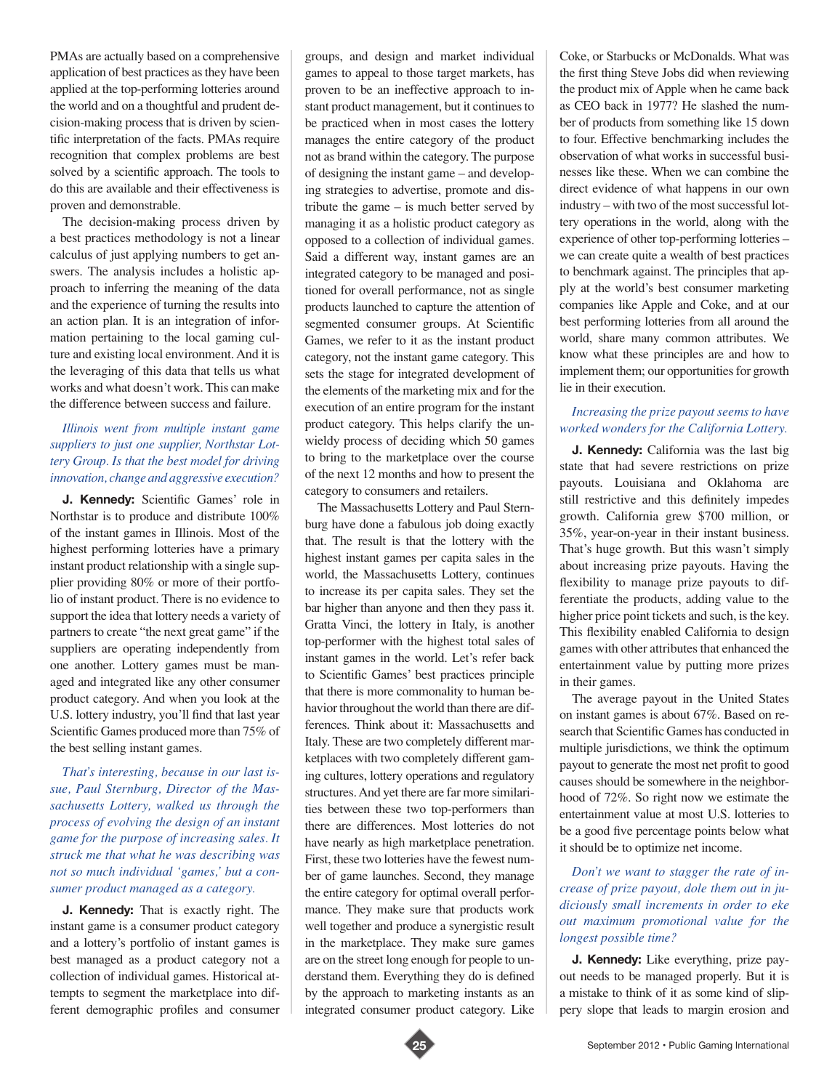PMAs are actually based on a comprehensive application of best practices as they have been applied at the top-performing lotteries around the world and on a thoughtful and prudent decision-making process that is driven by scientific interpretation of the facts. PMAs require recognition that complex problems are best solved by a scientific approach. The tools to do this are available and their effectiveness is proven and demonstrable.

The decision-making process driven by a best practices methodology is not a linear calculus of just applying numbers to get answers. The analysis includes a holistic approach to inferring the meaning of the data and the experience of turning the results into an action plan. It is an integration of information pertaining to the local gaming culture and existing local environment. And it is the leveraging of this data that tells us what works and what doesn't work. This can make the difference between success and failure.

# *Illinois went from multiple instant game suppliers to just one supplier, Northstar Lottery Group. Is that the best model for driving innovation, change and aggressive execution?*

**J. Kennedy:** Scientific Games' role in Northstar is to produce and distribute 100% of the instant games in Illinois. Most of the highest performing lotteries have a primary instant product relationship with a single supplier providing 80% or more of their portfolio of instant product. There is no evidence to support the idea that lottery needs a variety of partners to create "the next great game" if the suppliers are operating independently from one another. Lottery games must be managed and integrated like any other consumer product category. And when you look at the U.S. lottery industry, you'll find that last year Scientific Games produced more than 75% of the best selling instant games.

*That's interesting, because in our last issue, Paul Sternburg, Director of the Massachusetts Lottery, walked us through the process of evolving the design of an instant game for the purpose of increasing sales. It struck me that what he was describing was not so much individual 'games,' but a consumer product managed as a category.* 

**J. Kennedy:** That is exactly right. The instant game is a consumer product category and a lottery's portfolio of instant games is best managed as a product category not a collection of individual games. Historical attempts to segment the marketplace into different demographic profiles and consumer

groups, and design and market individual games to appeal to those target markets, has proven to be an ineffective approach to instant product management, but it continues to be practiced when in most cases the lottery manages the entire category of the product not as brand within the category. The purpose of designing the instant game – and developing strategies to advertise, promote and distribute the game – is much better served by managing it as a holistic product category as opposed to a collection of individual games. Said a different way, instant games are an integrated category to be managed and positioned for overall performance, not as single products launched to capture the attention of segmented consumer groups. At Scientific Games, we refer to it as the instant product category, not the instant game category. This sets the stage for integrated development of the elements of the marketing mix and for the execution of an entire program for the instant product category. This helps clarify the unwieldy process of deciding which 50 games to bring to the marketplace over the course of the next 12 months and how to present the category to consumers and retailers.

The Massachusetts Lottery and Paul Sternburg have done a fabulous job doing exactly that. The result is that the lottery with the highest instant games per capita sales in the world, the Massachusetts Lottery, continues to increase its per capita sales. They set the bar higher than anyone and then they pass it. Gratta Vinci, the lottery in Italy, is another top-performer with the highest total sales of instant games in the world. Let's refer back to Scientific Games' best practices principle that there is more commonality to human behavior throughout the world than there are differences. Think about it: Massachusetts and Italy. These are two completely different marketplaces with two completely different gaming cultures, lottery operations and regulatory structures. And yet there are far more similarities between these two top-performers than there are differences. Most lotteries do not have nearly as high marketplace penetration. First, these two lotteries have the fewest number of game launches. Second, they manage the entire category for optimal overall performance. They make sure that products work well together and produce a synergistic result in the marketplace. They make sure games are on the street long enough for people to understand them. Everything they do is defined by the approach to marketing instants as an integrated consumer product category. Like

Coke, or Starbucks or McDonalds. What was the first thing Steve Jobs did when reviewing the product mix of Apple when he came back as CEO back in 1977? He slashed the number of products from something like 15 down to four. Effective benchmarking includes the observation of what works in successful businesses like these. When we can combine the direct evidence of what happens in our own industry – with two of the most successful lottery operations in the world, along with the experience of other top-performing lotteries – we can create quite a wealth of best practices to benchmark against. The principles that apply at the world's best consumer marketing companies like Apple and Coke, and at our best performing lotteries from all around the world, share many common attributes. We know what these principles are and how to implement them; our opportunities for growth lie in their execution.

#### *Increasing the prize payout seems to have worked wonders for the California Lottery.*

**J. Kennedy:** California was the last big state that had severe restrictions on prize payouts. Louisiana and Oklahoma are still restrictive and this definitely impedes growth. California grew \$700 million, or 35%, year-on-year in their instant business. That's huge growth. But this wasn't simply about increasing prize payouts. Having the flexibility to manage prize payouts to differentiate the products, adding value to the higher price point tickets and such, is the key. This flexibility enabled California to design games with other attributes that enhanced the entertainment value by putting more prizes in their games.

The average payout in the United States on instant games is about 67%. Based on research that Scientific Games has conducted in multiple jurisdictions, we think the optimum payout to generate the most net profit to good causes should be somewhere in the neighborhood of 72%. So right now we estimate the entertainment value at most U.S. lotteries to be a good five percentage points below what it should be to optimize net income.

*Don't we want to stagger the rate of increase of prize payout, dole them out in judiciously small increments in order to eke out maximum promotional value for the longest possible time?* 

**J. Kennedy:** Like everything, prize payout needs to be managed properly. But it is a mistake to think of it as some kind of slippery slope that leads to margin erosion and

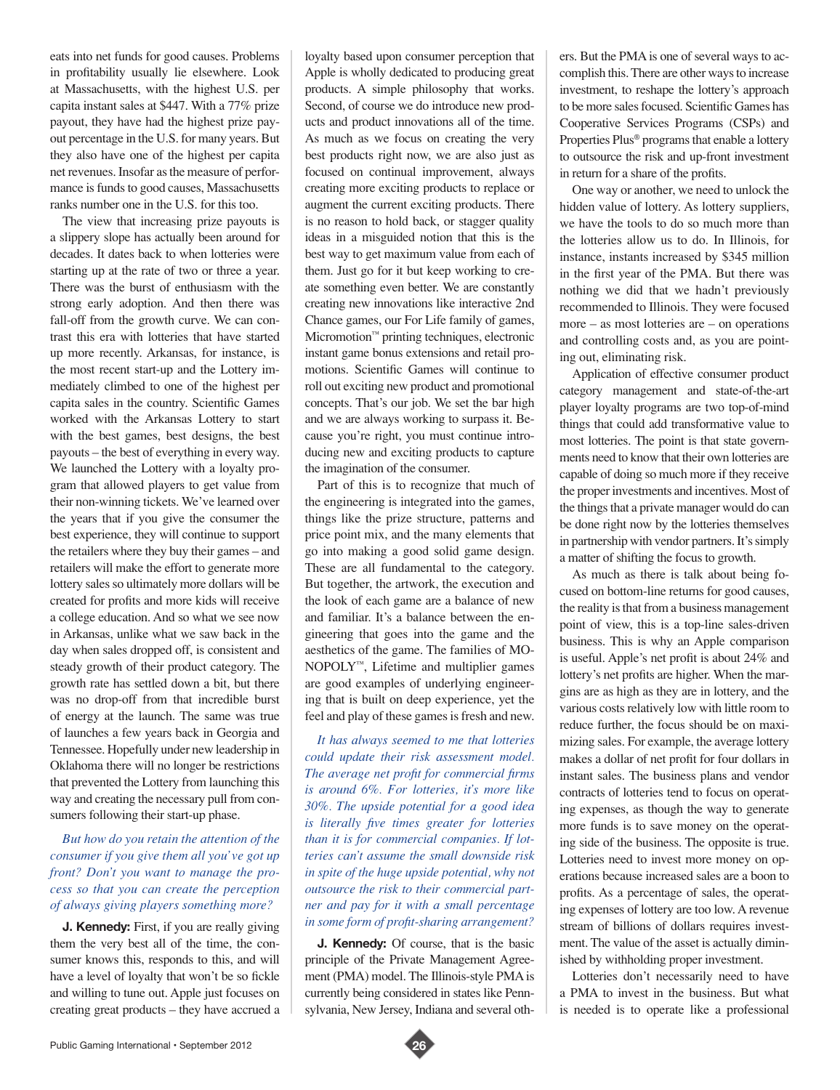eats into net funds for good causes. Problems in profitability usually lie elsewhere. Look at Massachusetts, with the highest U.S. per capita instant sales at \$447. With a 77% prize payout, they have had the highest prize payout percentage in the U.S. for many years. But they also have one of the highest per capita net revenues. Insofar as the measure of performance is funds to good causes, Massachusetts ranks number one in the U.S. for this too.

The view that increasing prize payouts is a slippery slope has actually been around for decades. It dates back to when lotteries were starting up at the rate of two or three a year. There was the burst of enthusiasm with the strong early adoption. And then there was fall-off from the growth curve. We can contrast this era with lotteries that have started up more recently. Arkansas, for instance, is the most recent start-up and the Lottery immediately climbed to one of the highest per capita sales in the country. Scientific Games worked with the Arkansas Lottery to start with the best games, best designs, the best payouts – the best of everything in every way. We launched the Lottery with a loyalty program that allowed players to get value from their non-winning tickets. We've learned over the years that if you give the consumer the best experience, they will continue to support the retailers where they buy their games – and retailers will make the effort to generate more lottery sales so ultimately more dollars will be created for profits and more kids will receive a college education. And so what we see now in Arkansas, unlike what we saw back in the day when sales dropped off, is consistent and steady growth of their product category. The growth rate has settled down a bit, but there was no drop-off from that incredible burst of energy at the launch. The same was true of launches a few years back in Georgia and Tennessee. Hopefully under new leadership in Oklahoma there will no longer be restrictions that prevented the Lottery from launching this way and creating the necessary pull from consumers following their start-up phase.

## *But how do you retain the attention of the consumer if you give them all you've got up front? Don't you want to manage the process so that you can create the perception of always giving players something more?*

**J. Kennedy:** First, if you are really giving them the very best all of the time, the consumer knows this, responds to this, and will have a level of loyalty that won't be so fickle and willing to tune out. Apple just focuses on creating great products – they have accrued a

loyalty based upon consumer perception that Apple is wholly dedicated to producing great products. A simple philosophy that works. Second, of course we do introduce new products and product innovations all of the time. As much as we focus on creating the very best products right now, we are also just as focused on continual improvement, always creating more exciting products to replace or augment the current exciting products. There is no reason to hold back, or stagger quality ideas in a misguided notion that this is the best way to get maximum value from each of them. Just go for it but keep working to create something even better. We are constantly creating new innovations like interactive 2nd Chance games, our For Life family of games, Micromotion™ printing techniques, electronic instant game bonus extensions and retail promotions. Scientific Games will continue to roll out exciting new product and promotional concepts. That's our job. We set the bar high and we are always working to surpass it. Because you're right, you must continue introducing new and exciting products to capture the imagination of the consumer.

Part of this is to recognize that much of the engineering is integrated into the games, things like the prize structure, patterns and price point mix, and the many elements that go into making a good solid game design. These are all fundamental to the category. But together, the artwork, the execution and the look of each game are a balance of new and familiar. It's a balance between the engineering that goes into the game and the aesthetics of the game. The families of MO-NOPOLY™, Lifetime and multiplier games are good examples of underlying engineering that is built on deep experience, yet the feel and play of these games is fresh and new.

*It has always seemed to me that lotteries could update their risk assessment model. The average net profit for commercial firms is around 6%. For lotteries, it's more like 30%. The upside potential for a good idea is literally five times greater for lotteries than it is for commercial companies. If lotteries can't assume the small downside risk in spite of the huge upside potential, why not outsource the risk to their commercial partner and pay for it with a small percentage in some form of profit-sharing arrangement?* 

**J. Kennedy:** Of course, that is the basic principle of the Private Management Agreement (PMA) model. The Illinois-style PMA is currently being considered in states like Pennsylvania, New Jersey, Indiana and several others. But the PMA is one of several ways to accomplish this. There are other ways to increase investment, to reshape the lottery's approach to be more sales focused. Scientific Games has Cooperative Services Programs (CSPs) and Properties Plus® programs that enable a lottery to outsource the risk and up-front investment in return for a share of the profits.

One way or another, we need to unlock the hidden value of lottery. As lottery suppliers, we have the tools to do so much more than the lotteries allow us to do. In Illinois, for instance, instants increased by \$345 million in the first year of the PMA. But there was nothing we did that we hadn't previously recommended to Illinois. They were focused more – as most lotteries are – on operations and controlling costs and, as you are pointing out, eliminating risk.

Application of effective consumer product category management and state-of-the-art player loyalty programs are two top-of-mind things that could add transformative value to most lotteries. The point is that state governments need to know that their own lotteries are capable of doing so much more if they receive the proper investments and incentives. Most of the things that a private manager would do can be done right now by the lotteries themselves in partnership with vendor partners. It's simply a matter of shifting the focus to growth.

As much as there is talk about being focused on bottom-line returns for good causes, the reality is that from a business management point of view, this is a top-line sales-driven business. This is why an Apple comparison is useful. Apple's net profit is about 24% and lottery's net profits are higher. When the margins are as high as they are in lottery, and the various costs relatively low with little room to reduce further, the focus should be on maximizing sales. For example, the average lottery makes a dollar of net profit for four dollars in instant sales. The business plans and vendor contracts of lotteries tend to focus on operating expenses, as though the way to generate more funds is to save money on the operating side of the business. The opposite is true. Lotteries need to invest more money on operations because increased sales are a boon to profits. As a percentage of sales, the operating expenses of lottery are too low. A revenue stream of billions of dollars requires investment. The value of the asset is actually diminished by withholding proper investment.

Lotteries don't necessarily need to have a PMA to invest in the business. But what is needed is to operate like a professional

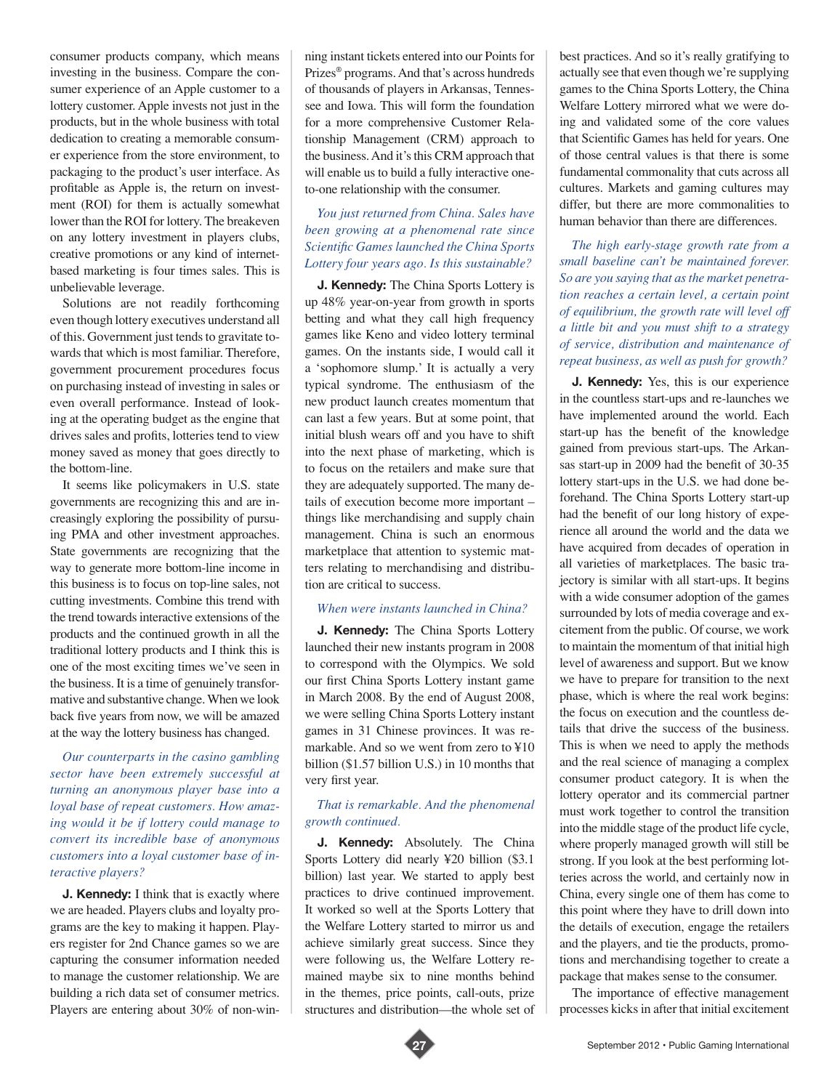consumer products company, which means investing in the business. Compare the consumer experience of an Apple customer to a lottery customer. Apple invests not just in the products, but in the whole business with total dedication to creating a memorable consumer experience from the store environment, to packaging to the product's user interface. As profitable as Apple is, the return on investment (ROI) for them is actually somewhat lower than the ROI for lottery. The breakeven on any lottery investment in players clubs, creative promotions or any kind of internetbased marketing is four times sales. This is unbelievable leverage.

Solutions are not readily forthcoming even though lottery executives understand all of this. Government just tends to gravitate towards that which is most familiar. Therefore, government procurement procedures focus on purchasing instead of investing in sales or even overall performance. Instead of looking at the operating budget as the engine that drives sales and profits, lotteries tend to view money saved as money that goes directly to the bottom-line.

It seems like policymakers in U.S. state governments are recognizing this and are increasingly exploring the possibility of pursuing PMA and other investment approaches. State governments are recognizing that the way to generate more bottom-line income in this business is to focus on top-line sales, not cutting investments. Combine this trend with the trend towards interactive extensions of the products and the continued growth in all the traditional lottery products and I think this is one of the most exciting times we've seen in the business. It is a time of genuinely transformative and substantive change. When we look back five years from now, we will be amazed at the way the lottery business has changed.

*Our counterparts in the casino gambling sector have been extremely successful at turning an anonymous player base into a loyal base of repeat customers. How amazing would it be if lottery could manage to convert its incredible base of anonymous customers into a loyal customer base of interactive players?* 

**J. Kennedy:** I think that is exactly where we are headed. Players clubs and loyalty programs are the key to making it happen. Players register for 2nd Chance games so we are capturing the consumer information needed to manage the customer relationship. We are building a rich data set of consumer metrics. Players are entering about 30% of non-winning instant tickets entered into our Points for Prizes® programs. And that's across hundreds of thousands of players in Arkansas, Tennessee and Iowa. This will form the foundation for a more comprehensive Customer Relationship Management (CRM) approach to the business. And it's this CRM approach that will enable us to build a fully interactive oneto-one relationship with the consumer.

### *You just returned from China. Sales have been growing at a phenomenal rate since Scientific Games launched the China Sports Lottery four years ago. Is this sustainable?*

**J. Kennedy:** The China Sports Lottery is up 48% year-on-year from growth in sports betting and what they call high frequency games like Keno and video lottery terminal games. On the instants side, I would call it a 'sophomore slump.' It is actually a very typical syndrome. The enthusiasm of the new product launch creates momentum that can last a few years. But at some point, that initial blush wears off and you have to shift into the next phase of marketing, which is to focus on the retailers and make sure that they are adequately supported. The many details of execution become more important – things like merchandising and supply chain management. China is such an enormous marketplace that attention to systemic matters relating to merchandising and distribution are critical to success.

#### *When were instants launched in China?*

**J. Kennedy:** The China Sports Lottery launched their new instants program in 2008 to correspond with the Olympics. We sold our first China Sports Lottery instant game in March 2008. By the end of August 2008, we were selling China Sports Lottery instant games in 31 Chinese provinces. It was remarkable. And so we went from zero to ¥10 billion (\$1.57 billion U.S.) in 10 months that very first year.

### *That is remarkable. And the phenomenal growth continued.*

**J. Kennedy:** Absolutely. The China Sports Lottery did nearly ¥20 billion (\$3.1 billion) last year. We started to apply best practices to drive continued improvement. It worked so well at the Sports Lottery that the Welfare Lottery started to mirror us and achieve similarly great success. Since they were following us, the Welfare Lottery remained maybe six to nine months behind in the themes, price points, call-outs, prize structures and distribution—the whole set of best practices. And so it's really gratifying to actually see that even though we're supplying games to the China Sports Lottery, the China Welfare Lottery mirrored what we were doing and validated some of the core values that Scientific Games has held for years. One of those central values is that there is some fundamental commonality that cuts across all cultures. Markets and gaming cultures may differ, but there are more commonalities to human behavior than there are differences.

*The high early-stage growth rate from a small baseline can't be maintained forever. So are you saying that as the market penetration reaches a certain level, a certain point of equilibrium, the growth rate will level off a little bit and you must shift to a strategy of service, distribution and maintenance of repeat business, as well as push for growth?* 

**J. Kennedy:** Yes, this is our experience in the countless start-ups and re-launches we have implemented around the world. Each start-up has the benefit of the knowledge gained from previous start-ups. The Arkansas start-up in 2009 had the benefit of 30-35 lottery start-ups in the U.S. we had done beforehand. The China Sports Lottery start-up had the benefit of our long history of experience all around the world and the data we have acquired from decades of operation in all varieties of marketplaces. The basic trajectory is similar with all start-ups. It begins with a wide consumer adoption of the games surrounded by lots of media coverage and excitement from the public. Of course, we work to maintain the momentum of that initial high level of awareness and support. But we know we have to prepare for transition to the next phase, which is where the real work begins: the focus on execution and the countless details that drive the success of the business. This is when we need to apply the methods and the real science of managing a complex consumer product category. It is when the lottery operator and its commercial partner must work together to control the transition into the middle stage of the product life cycle, where properly managed growth will still be strong. If you look at the best performing lotteries across the world, and certainly now in China, every single one of them has come to this point where they have to drill down into the details of execution, engage the retailers and the players, and tie the products, promotions and merchandising together to create a package that makes sense to the consumer.

The importance of effective management processes kicks in after that initial excitement